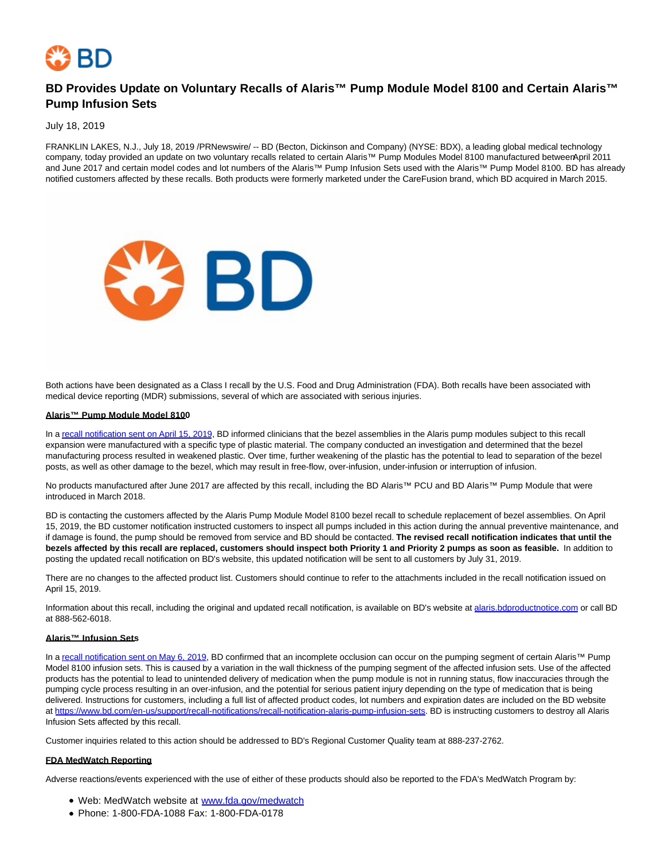

# **BD Provides Update on Voluntary Recalls of Alaris™ Pump Module Model 8100 and Certain Alaris™ Pump Infusion Sets**

July 18, 2019

FRANKLIN LAKES, N.J., July 18, 2019 /PRNewswire/ -- BD (Becton, Dickinson and Company) (NYSE: BDX), a leading global medical technology company, today provided an update on two voluntary recalls related to certain Alaris™ Pump Modules Model 8100 manufactured between April 2011 and June 2017 and certain model codes and lot numbers of the Alaris™ Pump Infusion Sets used with the Alaris™ Pump Model 8100. BD has already notified customers affected by these recalls. Both products were formerly marketed under the CareFusion brand, which BD acquired in March 2015.



Both actions have been designated as a Class I recall by the U.S. Food and Drug Administration (FDA). Both recalls have been associated with medical device reporting (MDR) submissions, several of which are associated with serious injuries.

#### **Alaris™ Pump Module Model 8100**

In [a recall notification sent on April 15, 2019,](https://c212.net/c/link/?t=0&l=en&o=2523590-1&h=4074368930&u=https%3A%2F%2Fwww.bd.com%2Fen-us%2Fsupport%2Frecall-notifications%2Frecall-notification-for-alaris-pump-module-bezel-post-separation-model-8100&a=recall+notification+sent+on+April+15%2C+2019) BD informed clinicians that the bezel assemblies in the Alaris pump modules subject to this recall expansion were manufactured with a specific type of plastic material. The company conducted an investigation and determined that the bezel manufacturing process resulted in weakened plastic. Over time, further weakening of the plastic has the potential to lead to separation of the bezel posts, as well as other damage to the bezel, which may result in free-flow, over-infusion, under-infusion or interruption of infusion.

No products manufactured after June 2017 are affected by this recall, including the BD Alaris™ PCU and BD Alaris™ Pump Module that were introduced in March 2018.

BD is contacting the customers affected by the Alaris Pump Module Model 8100 bezel recall to schedule replacement of bezel assemblies. On April 15, 2019, the BD customer notification instructed customers to inspect all pumps included in this action during the annual preventive maintenance, and if damage is found, the pump should be removed from service and BD should be contacted. **The revised recall notification indicates that until the bezels affected by this recall are replaced, customers should inspect both Priority 1 and Priority 2 pumps as soon as feasible.** In addition to posting the updated recall notification on BD's website, this updated notification will be sent to all customers by July 31, 2019.

There are no changes to the affected product list. Customers should continue to refer to the attachments included in the recall notification issued on April 15, 2019.

Information about this recall, including the original and updated recall notification, is available on BD's website at [alaris.bdproductnotice.com o](https://c212.net/c/link/?t=0&l=en&o=2523590-1&h=2385547356&u=http%3A%2F%2Fwww.alaris.bdproductnotice.com%2F&a=alaris.bdproductnotice.com)r call BD at 888-562-6018.

### **Alaris™ Infusion Sets**

In [a recall notification sent on May 6, 2019,](https://c212.net/c/link/?t=0&l=en&o=2523590-1&h=2704907319&u=https%3A%2F%2Fwww.bd.com%2Fen-us%2Fsupport%2Frecall-notifications%2Frecall-notification-alaris-pump-infusion-sets&a=recall+notification+sent+on+May+6%2C+2019) BD confirmed that an incomplete occlusion can occur on the pumping segment of certain Alaris™ Pump Model 8100 infusion sets. This is caused by a variation in the wall thickness of the pumping segment of the affected infusion sets. Use of the affected products has the potential to lead to unintended delivery of medication when the pump module is not in running status, flow inaccuracies through the pumping cycle process resulting in an over-infusion, and the potential for serious patient injury depending on the type of medication that is being delivered. Instructions for customers, including a full list of affected product codes, lot numbers and expiration dates are included on the BD website at [https://www.bd.com/en-us/support/recall-notifications/recall-notification-alaris-pump-infusion-sets.](https://c212.net/c/link/?t=0&l=en&o=2523590-1&h=2470560378&u=https%3A%2F%2Fwww.bd.com%2Fen-us%2Fsupport%2Frecall-notifications%2Frecall-notification-alaris-pump-infusion-sets&a=https%3A%2F%2Fwww.bd.com%2Fen-us%2Fsupport%2Frecall-notifications%2Frecall-notification-alaris-pump-infusion-sets) BD is instructing customers to destroy all Alaris Infusion Sets affected by this recall.

Customer inquiries related to this action should be addressed to BD's Regional Customer Quality team at 888-237-2762.

## **FDA MedWatch Reporting**

Adverse reactions/events experienced with the use of either of these products should also be reported to the FDA's MedWatch Program by:

- Web: MedWatch website at [www.fda.gov/medwatch](http://www.fda.gov/medwatch)
- Phone: 1-800-FDA-1088 Fax: 1-800-FDA-0178